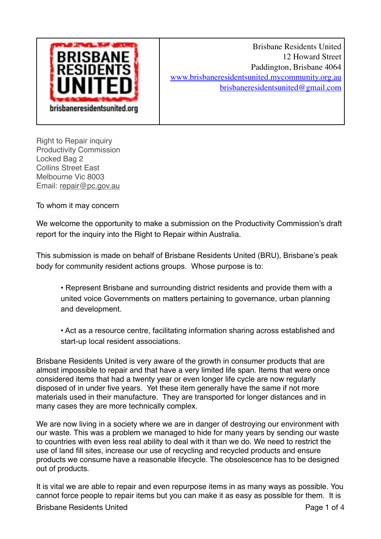

Brisbane Residents United 12 Howard Street Paddington, Brisbane 4064 www.brisbaneresidentsunited.mycommunity.org.au brisbaneresidentsunited@gmail.com

Right to Repair inquiry Productivity Commission Locked Bag 2 Collins Street East Melbourne Vic 8003 Email: repair@pc.gov.au

To whom it may concern

We welcome the opportunity to make a submission on the Productivity Commission's draft report for the inquiry into the Right to Repair within Australia.

This submission is made on behalf of Brisbane Residents United (BRU), Brisbane's peak body for community resident actions groups. Whose purpose is to:

• Represent Brisbane and surrounding district residents and provide them with a united voice Governments on matters pertaining to governance, urban planning and development.

• Act as a resource centre, facilitating information sharing across established and start-up local resident associations.

Brisbane Residents United is very aware of the growth in consumer products that are almost impossible to repair and that have a very limited life span. Items that were once considered items that had a twenty year or even longer life cycle are now regularly disposed of in under five years. Yet these item generally have the same if not more materials used in their manufacture. They are transported for longer distances and in many cases they are more technically complex.

We are now living in a society where we are in danger of destroying our environment with our waste. This was a problem we managed to hide for many years by sending our waste to countries with even less real ability to deal with it than we do. We need to restrict the use of land fill sites, increase our use of recycling and recycled products and ensure products we consume have a reasonable lifecycle. The obsolescence has to be designed out of products.

It is vital we are able to repair and even repurpose items in as many ways as possible. You cannot force people to repair items but you can make it as easy as possible for them. It is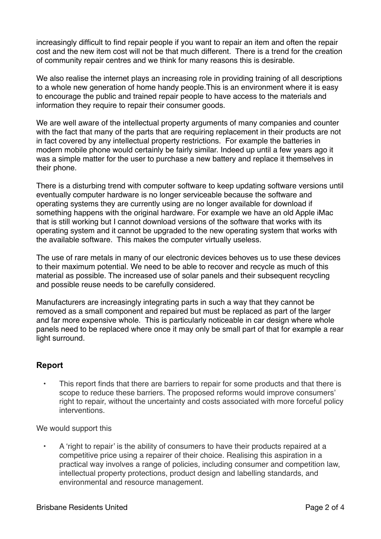increasingly difficult to find repair people if you want to repair an item and often the repair cost and the new item cost will not be that much different. There is a trend for the creation of community repair centres and we think for many reasons this is desirable.

We also realise the internet plays an increasing role in providing training of all descriptions to a whole new generation of home handy people.This is an environment where it is easy to encourage the public and trained repair people to have access to the materials and information they require to repair their consumer goods.

We are well aware of the intellectual property arguments of many companies and counter with the fact that many of the parts that are requiring replacement in their products are not in fact covered by any intellectual property restrictions. For example the batteries in modern mobile phone would certainly be fairly similar. Indeed up until a few years ago it was a simple matter for the user to purchase a new battery and replace it themselves in their phone.

There is a disturbing trend with computer software to keep updating software versions until eventually computer hardware is no longer serviceable because the software and operating systems they are currently using are no longer available for download if something happens with the original hardware. For example we have an old Apple iMac that is still working but I cannot download versions of the software that works with its operating system and it cannot be upgraded to the new operating system that works with the available software. This makes the computer virtually useless.

The use of rare metals in many of our electronic devices behoves us to use these devices to their maximum potential. We need to be able to recover and recycle as much of this material as possible. The increased use of solar panels and their subsequent recycling and possible reuse needs to be carefully considered.

Manufacturers are increasingly integrating parts in such a way that they cannot be removed as a small component and repaired but must be replaced as part of the larger and far more expensive whole. This is particularly noticeable in car design where whole panels need to be replaced where once it may only be small part of that for example a rear light surround.

## **Report**

• This report finds that there are barriers to repair for some products and that there is scope to reduce these barriers. The proposed reforms would improve consumers' right to repair, without the uncertainty and costs associated with more forceful policy interventions.

We would support this

• A 'right to repair' is the ability of consumers to have their products repaired at a competitive price using a repairer of their choice. Realising this aspiration in a practical way involves a range of policies, including consumer and competition law, intellectual property protections, product design and labelling standards, and environmental and resource management.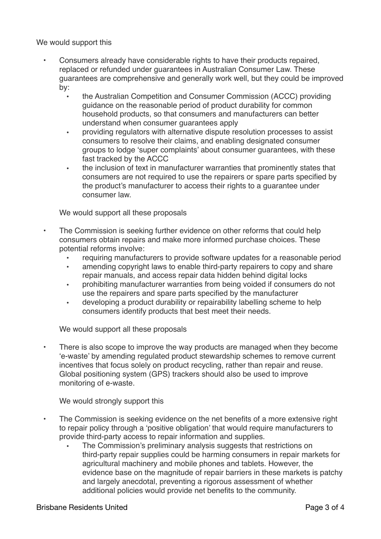We would support this

- Consumers already have considerable rights to have their products repaired, replaced or refunded under guarantees in Australian Consumer Law. These guarantees are comprehensive and generally work well, but they could be improved by:
	- the Australian Competition and Consumer Commission (ACCC) providing guidance on the reasonable period of product durability for common household products, so that consumers and manufacturers can better understand when consumer guarantees apply
	- providing regulators with alternative dispute resolution processes to assist consumers to resolve their claims, and enabling designated consumer groups to lodge 'super complaints' about consumer guarantees, with these fast tracked by the ACCC
	- the inclusion of text in manufacturer warranties that prominently states that consumers are not required to use the repairers or spare parts specified by the product's manufacturer to access their rights to a guarantee under consumer law.

We would support all these proposals

- The Commission is seeking further evidence on other reforms that could help consumers obtain repairs and make more informed purchase choices. These potential reforms involve:
	- requiring manufacturers to provide software updates for a reasonable period
	- amending copyright laws to enable third-party repairers to copy and share repair manuals, and access repair data hidden behind digital locks
	- prohibiting manufacturer warranties from being voided if consumers do not use the repairers and spare parts specified by the manufacturer
	- developing a product durability or repairability labelling scheme to help consumers identify products that best meet their needs.

We would support all these proposals

There is also scope to improve the way products are managed when they become 'e-waste' by amending regulated product stewardship schemes to remove current incentives that focus solely on product recycling, rather than repair and reuse. Global positioning system (GPS) trackers should also be used to improve monitoring of e-waste.

We would strongly support this

- The Commission is seeking evidence on the net benefits of a more extensive right to repair policy through a 'positive obligation' that would require manufacturers to provide third‑party access to repair information and supplies.
	- The Commission's preliminary analysis suggests that restrictions on third‑party repair supplies could be harming consumers in repair markets for agricultural machinery and mobile phones and tablets. However, the evidence base on the magnitude of repair barriers in these markets is patchy and largely anecdotal, preventing a rigorous assessment of whether additional policies would provide net benefits to the community.